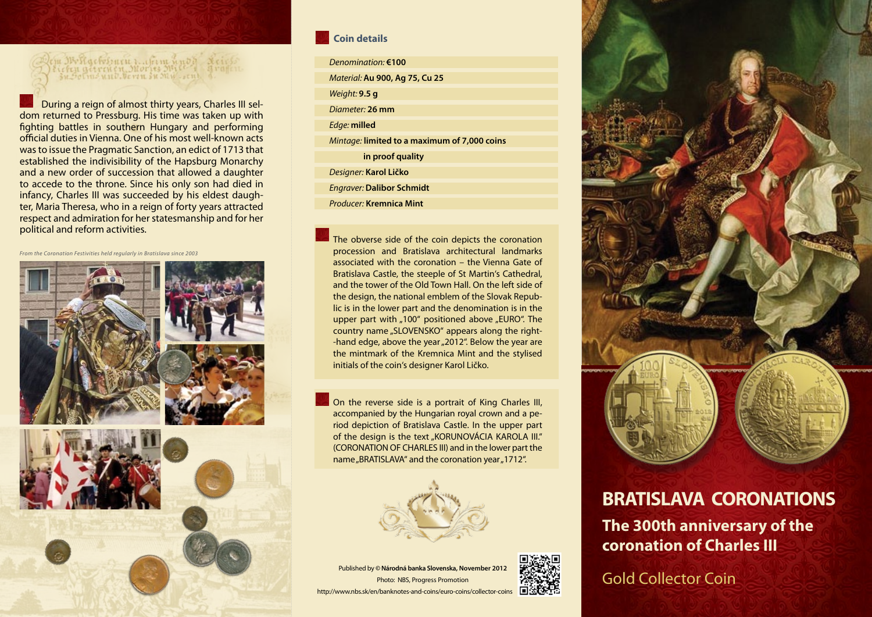## em Wolfgebokuru z "Genn und de Lei<br>Lieben getreuen Mories Mite – gra<br>Habolmo und beren su My Lend ()

During a reign of almost thirty years, Charles III seldom returned to Pressburg. His time was taken up with fighting battles in southern Hungary and performing official duties in Vienna. One of his most well-known acts was to issue the Pragmatic Sanction, an edict of 1713 that established the indivisibility of the Hapsburg Monarchy and a new order of succession that allowed a daughter to accede to the throne. Since his only son had died in infancy, Charles III was succeeded by his eldest daughter, Maria Theresa, who in a reign of forty years attracted respect and admiration for her statesmanship and for her political and reform activities.

*From the Coronation Festivities held regularly in Bratislava since 2003* 



## **Coin details**

- *Denomination:* **€100** *Material:* **Au 900, Ag 75, Cu 25** *Weight:* **9.5 g** *Diameter:* **26 mm** *Edge:* **milled** *Mintage:* **limited to a maximum of 7,000 coins in proof quality** *Designer:* **Karol Ličko**
- *Engraver:* **Dalibor Schmidt**
- *Producer:* **Kremnica Mint**

The obverse side of the coin depicts the coronation procession and Bratislava architectural landmarks associated with the coronation – the Vienna Gate of Bratislava Castle, the steeple of St Martin's Cathedral, and the tower of the Old Town Hall. On the left side of the design, the national emblem of the Slovak Republic is in the lower part and the denomination is in the upper part with "100" positioned above "EURO". The country name "SLOVENSKO" appears along the right--hand edge, above the year "2012". Below the year are the mintmark of the Kremnica Mint and the stylised initials of the coin's designer Karol Ličko.

On the reverse side is a portrait of King Charles III, accompanied by the Hungarian royal crown and a period depiction of Bratislava Castle. In the upper part of the design is the text "KORUNOVÁCIA KAROLA III." (CORONATION OF CHARLES III) and in the lower part the name "BRATISLAVA" and the coronation year "1712".



Published by **© Národná banka Slovenska, November 2012** Photo: NBS, Progress Promotion http://www.nbs.sk/en/banknotes-and-coins/euro-coins/collector-coins



## **BRATISLAVA CORONATIONS The 300th anniversary of the coronation of Charles III**

Gold Collector Coin